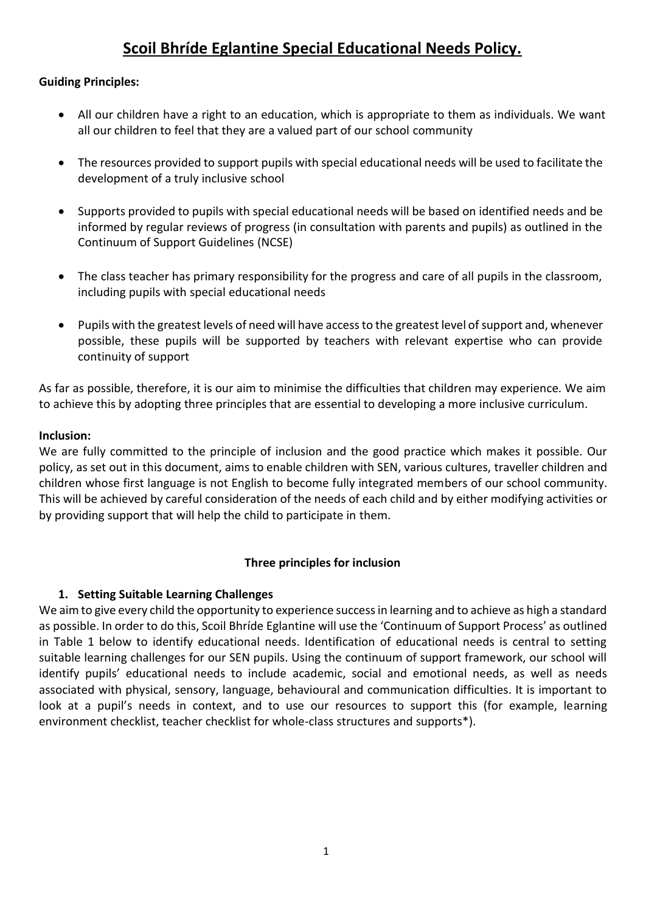# **Scoil Bhríde Eglantine Special Educational Needs Policy.**

## **Guiding Principles:**

- All our children have a right to an education, which is appropriate to them as individuals. We want all our children to feel that they are a valued part of our school community
- The resources provided to support pupils with special educational needs will be used to facilitate the development of a truly inclusive school
- Supports provided to pupils with special educational needs will be based on identified needs and be informed by regular reviews of progress (in consultation with parents and pupils) as outlined in the Continuum of Support Guidelines (NCSE)
- The class teacher has primary responsibility for the progress and care of all pupils in the classroom, including pupils with special educational needs
- Pupils with the greatest levels of need will have access to the greatest level of support and, whenever possible, these pupils will be supported by teachers with relevant expertise who can provide continuity of support

As far as possible, therefore, it is our aim to minimise the difficulties that children may experience. We aim to achieve this by adopting three principles that are essential to developing a more inclusive curriculum.

## **Inclusion:**

We are fully committed to the principle of inclusion and the good practice which makes it possible. Our policy, as set out in this document, aims to enable children with SEN, various cultures, traveller children and children whose first language is not English to become fully integrated members of our school community. This will be achieved by careful consideration of the needs of each child and by either modifying activities or by providing support that will help the child to participate in them.

## **Three principles for inclusion**

## **1. Setting Suitable Learning Challenges**

We aim to give every child the opportunity to experience success in learning and to achieve as high a standard as possible. In order to do this, Scoil Bhríde Eglantine will use the 'Continuum of Support Process' as outlined in Table 1 below to identify educational needs. Identification of educational needs is central to setting suitable learning challenges for our SEN pupils. Using the continuum of support framework, our school will identify pupils' educational needs to include academic, social and emotional needs, as well as needs associated with physical, sensory, language, behavioural and communication difficulties. It is important to look at a pupil's needs in context, and to use our resources to support this (for example, learning environment checklist, teacher checklist for whole-class structures and supports\*).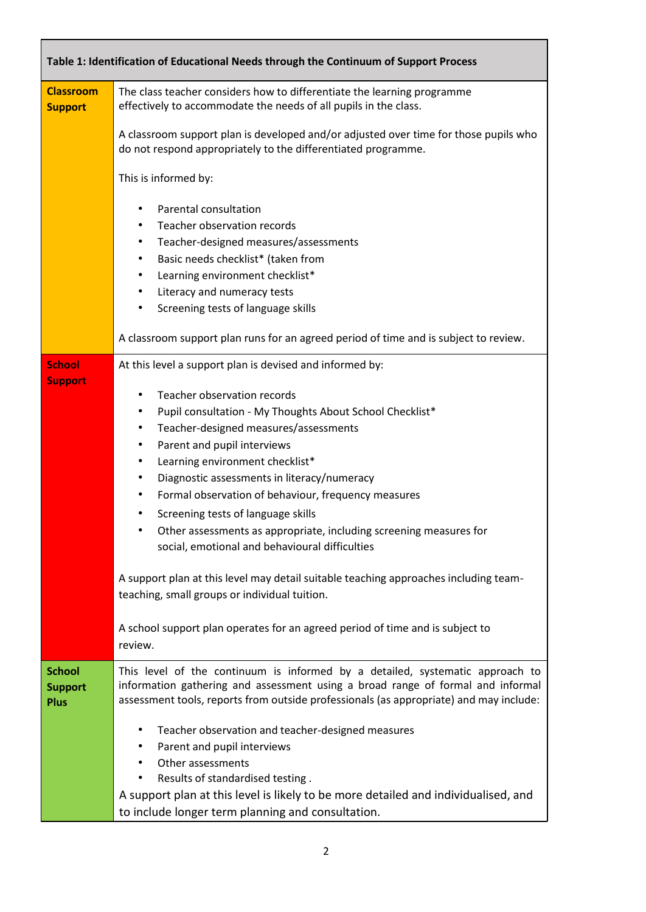|                                                | Table 1: Identification of Educational Needs through the Continuum of Support Process                                                                                                                                                                                                                                                                                                                                                                                                                                                                                                                                                                                                                                                                                                                                                           |
|------------------------------------------------|-------------------------------------------------------------------------------------------------------------------------------------------------------------------------------------------------------------------------------------------------------------------------------------------------------------------------------------------------------------------------------------------------------------------------------------------------------------------------------------------------------------------------------------------------------------------------------------------------------------------------------------------------------------------------------------------------------------------------------------------------------------------------------------------------------------------------------------------------|
| <b>Classroom</b><br><b>Support</b>             | The class teacher considers how to differentiate the learning programme<br>effectively to accommodate the needs of all pupils in the class.                                                                                                                                                                                                                                                                                                                                                                                                                                                                                                                                                                                                                                                                                                     |
|                                                | A classroom support plan is developed and/or adjusted over time for those pupils who<br>do not respond appropriately to the differentiated programme.                                                                                                                                                                                                                                                                                                                                                                                                                                                                                                                                                                                                                                                                                           |
|                                                | This is informed by:                                                                                                                                                                                                                                                                                                                                                                                                                                                                                                                                                                                                                                                                                                                                                                                                                            |
|                                                | Parental consultation<br>$\bullet$<br>Teacher observation records<br>٠<br>Teacher-designed measures/assessments<br>٠<br>Basic needs checklist* (taken from<br>٠<br>Learning environment checklist*<br>٠<br>Literacy and numeracy tests<br>٠<br>Screening tests of language skills<br>$\bullet$                                                                                                                                                                                                                                                                                                                                                                                                                                                                                                                                                  |
|                                                | A classroom support plan runs for an agreed period of time and is subject to review.                                                                                                                                                                                                                                                                                                                                                                                                                                                                                                                                                                                                                                                                                                                                                            |
| <b>School</b><br><b>Support</b>                | At this level a support plan is devised and informed by:<br>Teacher observation records<br>$\bullet$<br>Pupil consultation - My Thoughts About School Checklist*<br>$\bullet$<br>Teacher-designed measures/assessments<br>٠<br>Parent and pupil interviews<br>$\bullet$<br>Learning environment checklist*<br>٠<br>Diagnostic assessments in literacy/numeracy<br>$\bullet$<br>Formal observation of behaviour, frequency measures<br>٠<br>Screening tests of language skills<br>٠<br>Other assessments as appropriate, including screening measures for<br>social, emotional and behavioural difficulties<br>A support plan at this level may detail suitable teaching approaches including team-<br>teaching, small groups or individual tuition.<br>A school support plan operates for an agreed period of time and is subject to<br>review. |
| <b>School</b><br><b>Support</b><br><b>Plus</b> | This level of the continuum is informed by a detailed, systematic approach to<br>information gathering and assessment using a broad range of formal and informal<br>assessment tools, reports from outside professionals (as appropriate) and may include:<br>Teacher observation and teacher-designed measures<br>$\bullet$<br>Parent and pupil interviews<br>٠<br>Other assessments<br>٠<br>Results of standardised testing.<br>A support plan at this level is likely to be more detailed and individualised, and<br>to include longer term planning and consultation.                                                                                                                                                                                                                                                                       |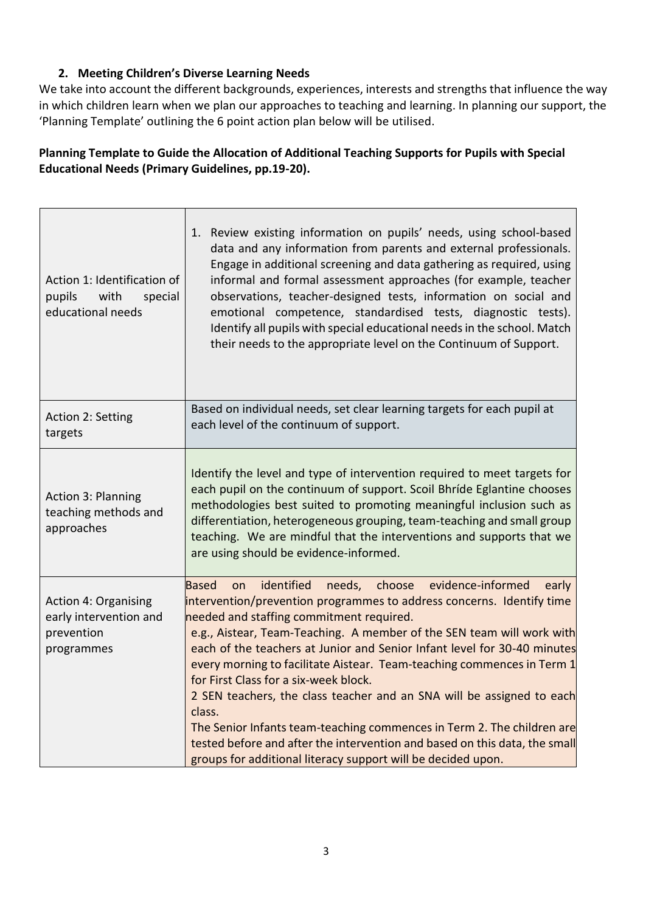# **2. Meeting Children's Diverse Learning Needs**

We take into account the different backgrounds, experiences, interests and strengths that influence the way in which children learn when we plan our approaches to teaching and learning. In planning our support, the 'Planning Template' outlining the 6 point action plan below will be utilised.

# **Planning Template to Guide the Allocation of Additional Teaching Supports for Pupils with Special Educational Needs (Primary Guidelines, pp.19-20).**

| Action 1: Identification of<br>pupils<br>with<br>special<br>educational needs     | Review existing information on pupils' needs, using school-based<br>1.<br>data and any information from parents and external professionals.<br>Engage in additional screening and data gathering as required, using<br>informal and formal assessment approaches (for example, teacher<br>observations, teacher-designed tests, information on social and<br>emotional competence, standardised tests, diagnostic tests).<br>Identify all pupils with special educational needs in the school. Match<br>their needs to the appropriate level on the Continuum of Support.                                                                                                                                                                                                                  |
|-----------------------------------------------------------------------------------|--------------------------------------------------------------------------------------------------------------------------------------------------------------------------------------------------------------------------------------------------------------------------------------------------------------------------------------------------------------------------------------------------------------------------------------------------------------------------------------------------------------------------------------------------------------------------------------------------------------------------------------------------------------------------------------------------------------------------------------------------------------------------------------------|
| Action 2: Setting<br>targets                                                      | Based on individual needs, set clear learning targets for each pupil at<br>each level of the continuum of support.                                                                                                                                                                                                                                                                                                                                                                                                                                                                                                                                                                                                                                                                         |
| <b>Action 3: Planning</b><br>teaching methods and<br>approaches                   | Identify the level and type of intervention required to meet targets for<br>each pupil on the continuum of support. Scoil Bhríde Eglantine chooses<br>methodologies best suited to promoting meaningful inclusion such as<br>differentiation, heterogeneous grouping, team-teaching and small group<br>teaching. We are mindful that the interventions and supports that we<br>are using should be evidence-informed.                                                                                                                                                                                                                                                                                                                                                                      |
| <b>Action 4: Organising</b><br>early intervention and<br>prevention<br>programmes | identified<br>evidence-informed<br><b>Based</b><br>needs,<br>choose<br>early<br>on<br>intervention/prevention programmes to address concerns. Identify time<br>needed and staffing commitment required.<br>e.g., Aistear, Team-Teaching. A member of the SEN team will work with<br>each of the teachers at Junior and Senior Infant level for 30-40 minutes<br>every morning to facilitate Aistear. Team-teaching commences in Term 1<br>for First Class for a six-week block.<br>2 SEN teachers, the class teacher and an SNA will be assigned to each<br>class.<br>The Senior Infants team-teaching commences in Term 2. The children are<br>tested before and after the intervention and based on this data, the small<br>groups for additional literacy support will be decided upon. |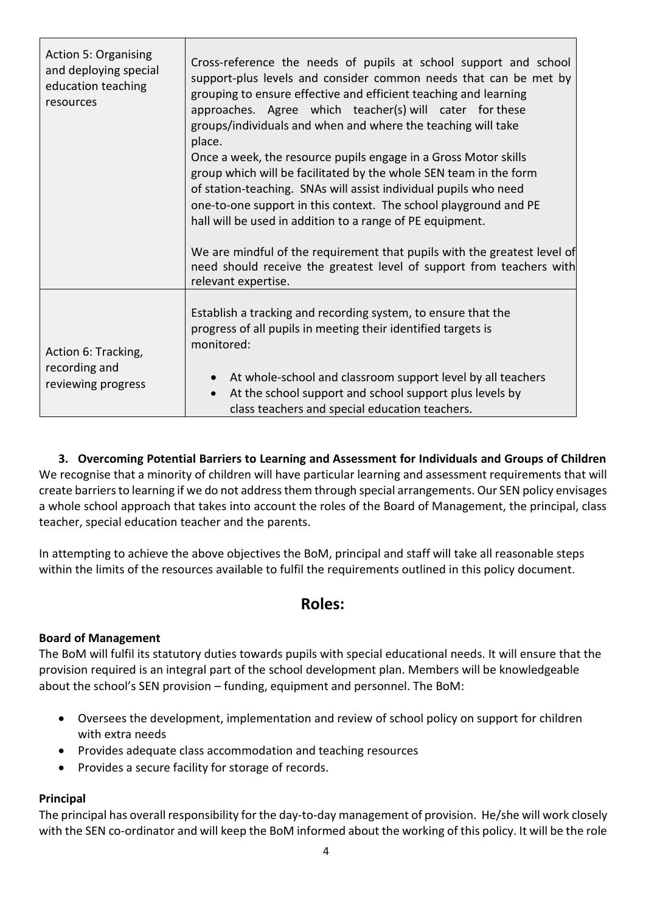| <b>Action 5: Organising</b><br>and deploying special<br>education teaching<br>resources | Cross-reference the needs of pupils at school support and school<br>support-plus levels and consider common needs that can be met by<br>grouping to ensure effective and efficient teaching and learning<br>approaches. Agree which teacher(s) will cater for these<br>groups/individuals and when and where the teaching will take<br>place.<br>Once a week, the resource pupils engage in a Gross Motor skills<br>group which will be facilitated by the whole SEN team in the form<br>of station-teaching. SNAs will assist individual pupils who need<br>one-to-one support in this context. The school playground and PE<br>hall will be used in addition to a range of PE equipment. |
|-----------------------------------------------------------------------------------------|--------------------------------------------------------------------------------------------------------------------------------------------------------------------------------------------------------------------------------------------------------------------------------------------------------------------------------------------------------------------------------------------------------------------------------------------------------------------------------------------------------------------------------------------------------------------------------------------------------------------------------------------------------------------------------------------|
|                                                                                         | We are mindful of the requirement that pupils with the greatest level of<br>need should receive the greatest level of support from teachers with<br>relevant expertise.                                                                                                                                                                                                                                                                                                                                                                                                                                                                                                                    |
| Action 6: Tracking,<br>recording and<br>reviewing progress                              | Establish a tracking and recording system, to ensure that the<br>progress of all pupils in meeting their identified targets is<br>monitored:<br>At whole-school and classroom support level by all teachers<br>At the school support and school support plus levels by<br>$\bullet$<br>class teachers and special education teachers.                                                                                                                                                                                                                                                                                                                                                      |

**3. Overcoming Potential Barriers to Learning and Assessment for Individuals and Groups of Children**  We recognise that a minority of children will have particular learning and assessment requirements that will create barriers to learning if we do not address them through special arrangements. Our SEN policy envisages a whole school approach that takes into account the roles of the Board of Management, the principal, class teacher, special education teacher and the parents.

In attempting to achieve the above objectives the BoM, principal and staff will take all reasonable steps within the limits of the resources available to fulfil the requirements outlined in this policy document.

# **Roles:**

## **Board of Management**

The BoM will fulfil its statutory duties towards pupils with special educational needs. It will ensure that the provision required is an integral part of the school development plan. Members will be knowledgeable about the school's SEN provision – funding, equipment and personnel. The BoM:

- Oversees the development, implementation and review of school policy on support for children with extra needs
- Provides adequate class accommodation and teaching resources
- Provides a secure facility for storage of records.

## **Principal**

The principal has overall responsibility for the day-to-day management of provision. He/she will work closely with the SEN co-ordinator and will keep the BoM informed about the working of this policy. It will be the role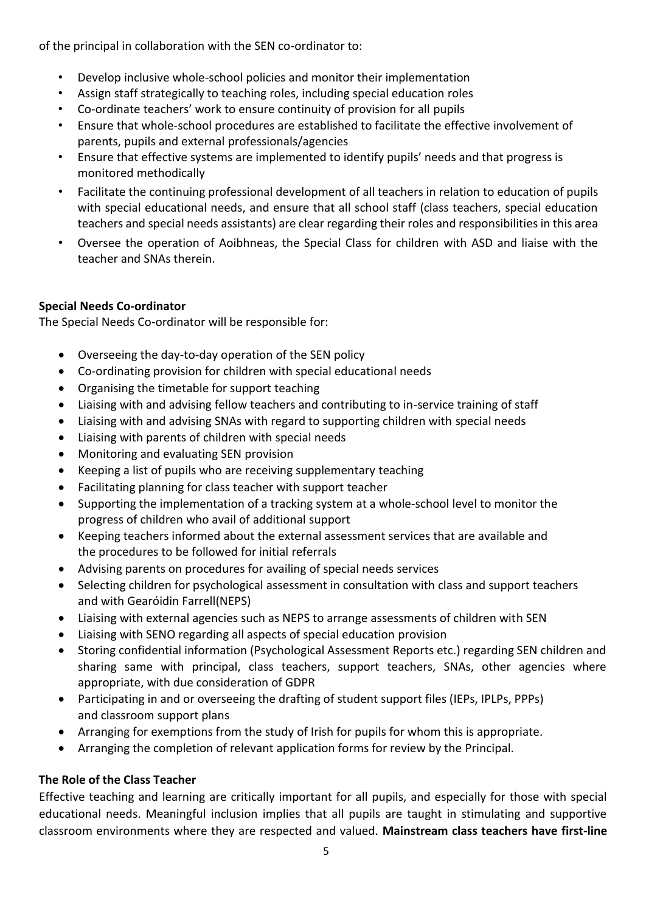of the principal in collaboration with the SEN co-ordinator to:

- Develop inclusive whole-school policies and monitor their implementation
- Assign staff strategically to teaching roles, including special education roles
- Co-ordinate teachers' work to ensure continuity of provision for all pupils
- Ensure that whole-school procedures are established to facilitate the effective involvement of parents, pupils and external professionals/agencies
- Ensure that effective systems are implemented to identify pupils' needs and that progress is monitored methodically
- Facilitate the continuing professional development of all teachers in relation to education of pupils with special educational needs, and ensure that all school staff (class teachers, special education teachers and special needs assistants) are clear regarding their roles and responsibilities in this area
- Oversee the operation of Aoibhneas, the Special Class for children with ASD and liaise with the teacher and SNAs therein.

# **Special Needs Co-ordinator**

The Special Needs Co-ordinator will be responsible for:

- Overseeing the day-to-day operation of the SEN policy
- Co-ordinating provision for children with special educational needs
- Organising the timetable for support teaching
- Liaising with and advising fellow teachers and contributing to in-service training of staff
- Liaising with and advising SNAs with regard to supporting children with special needs
- Liaising with parents of children with special needs
- Monitoring and evaluating SEN provision
- Keeping a list of pupils who are receiving supplementary teaching
- Facilitating planning for class teacher with support teacher
- Supporting the implementation of a tracking system at a whole-school level to monitor the progress of children who avail of additional support
- Keeping teachers informed about the external assessment services that are available and the procedures to be followed for initial referrals
- Advising parents on procedures for availing of special needs services
- Selecting children for psychological assessment in consultation with class and support teachers and with Gearóidin Farrell(NEPS)
- Liaising with external agencies such as NEPS to arrange assessments of children with SEN
- Liaising with SENO regarding all aspects of special education provision
- Storing confidential information (Psychological Assessment Reports etc.) regarding SEN children and sharing same with principal, class teachers, support teachers, SNAs, other agencies where appropriate, with due consideration of GDPR
- Participating in and or overseeing the drafting of student support files (IEPs, IPLPs, PPPs) and classroom support plans
- Arranging for exemptions from the study of Irish for pupils for whom this is appropriate.
- Arranging the completion of relevant application forms for review by the Principal.

# **The Role of the Class Teacher**

Effective teaching and learning are critically important for all pupils, and especially for those with special educational needs. Meaningful inclusion implies that all pupils are taught in stimulating and supportive classroom environments where they are respected and valued. **Mainstream class teachers have first-line**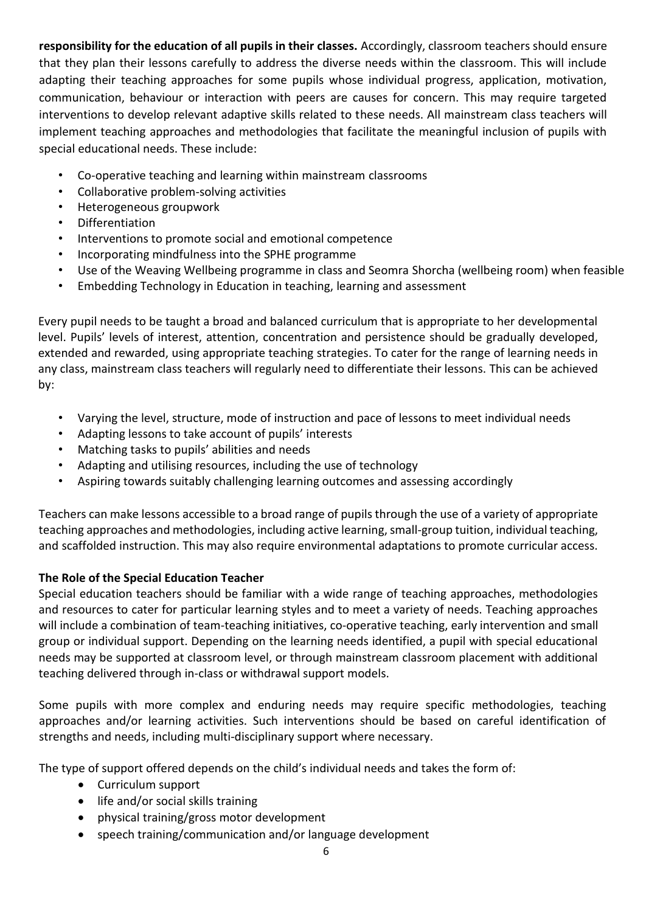**responsibility for the education of all pupils in their classes.** Accordingly, classroom teachers should ensure that they plan their lessons carefully to address the diverse needs within the classroom. This will include adapting their teaching approaches for some pupils whose individual progress, application, motivation, communication, behaviour or interaction with peers are causes for concern. This may require targeted interventions to develop relevant adaptive skills related to these needs. All mainstream class teachers will implement teaching approaches and methodologies that facilitate the meaningful inclusion of pupils with special educational needs. These include:

- Co-operative teaching and learning within mainstream classrooms
- Collaborative problem-solving activities
- Heterogeneous groupwork
- Differentiation
- Interventions to promote social and emotional competence
- Incorporating mindfulness into the SPHE programme
- Use of the Weaving Wellbeing programme in class and Seomra Shorcha (wellbeing room) when feasible
- Embedding Technology in Education in teaching, learning and assessment

Every pupil needs to be taught a broad and balanced curriculum that is appropriate to her developmental level. Pupils' levels of interest, attention, concentration and persistence should be gradually developed, extended and rewarded, using appropriate teaching strategies. To cater for the range of learning needs in any class, mainstream class teachers will regularly need to differentiate their lessons. This can be achieved by:

- Varying the level, structure, mode of instruction and pace of lessons to meet individual needs
- Adapting lessons to take account of pupils' interests
- Matching tasks to pupils' abilities and needs
- Adapting and utilising resources, including the use of technology
- Aspiring towards suitably challenging learning outcomes and assessing accordingly

Teachers can make lessons accessible to a broad range of pupils through the use of a variety of appropriate teaching approaches and methodologies, including active learning, small-group tuition, individual teaching, and scaffolded instruction. This may also require environmental adaptations to promote curricular access.

## **The Role of the Special Education Teacher**

Special education teachers should be familiar with a wide range of teaching approaches, methodologies and resources to cater for particular learning styles and to meet a variety of needs. Teaching approaches will include a combination of team-teaching initiatives, co-operative teaching, early intervention and small group or individual support. Depending on the learning needs identified, a pupil with special educational needs may be supported at classroom level, or through mainstream classroom placement with additional teaching delivered through in-class or withdrawal support models.

Some pupils with more complex and enduring needs may require specific methodologies, teaching approaches and/or learning activities. Such interventions should be based on careful identification of strengths and needs, including multi-disciplinary support where necessary.

The type of support offered depends on the child's individual needs and takes the form of:

- Curriculum support
- life and/or social skills training
- physical training/gross motor development
- speech training/communication and/or language development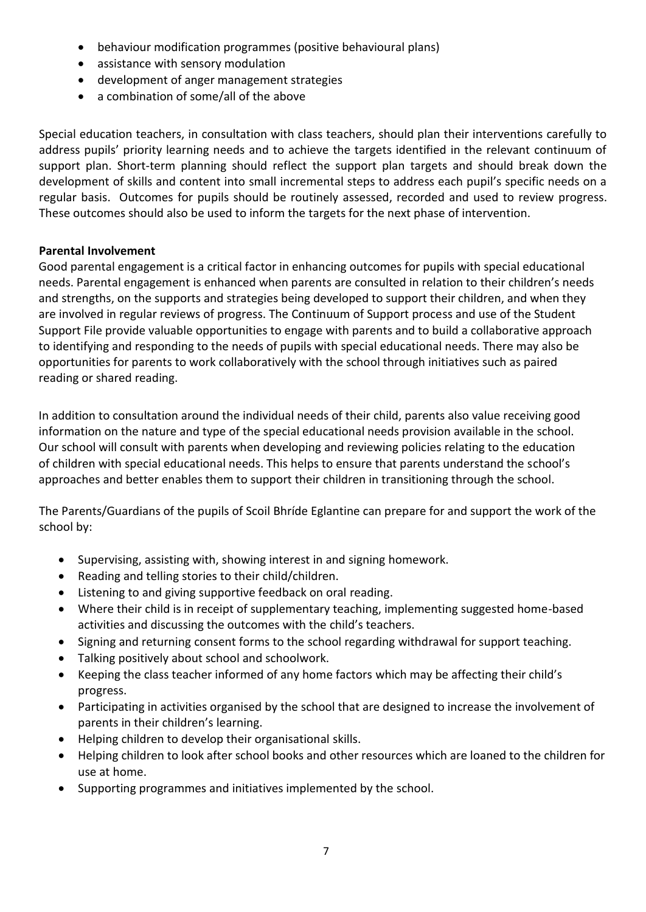- behaviour modification programmes (positive behavioural plans)
- assistance with sensory modulation
- development of anger management strategies
- a combination of some/all of the above

Special education teachers, in consultation with class teachers, should plan their interventions carefully to address pupils' priority learning needs and to achieve the targets identified in the relevant continuum of support plan. Short-term planning should reflect the support plan targets and should break down the development of skills and content into small incremental steps to address each pupil's specific needs on a regular basis. Outcomes for pupils should be routinely assessed, recorded and used to review progress. These outcomes should also be used to inform the targets for the next phase of intervention.

## **Parental Involvement**

Good parental engagement is a critical factor in enhancing outcomes for pupils with special educational needs. Parental engagement is enhanced when parents are consulted in relation to their children's needs and strengths, on the supports and strategies being developed to support their children, and when they are involved in regular reviews of progress. The Continuum of Support process and use of the Student Support File provide valuable opportunities to engage with parents and to build a collaborative approach to identifying and responding to the needs of pupils with special educational needs. There may also be opportunities for parents to work collaboratively with the school through initiatives such as paired reading or shared reading.

In addition to consultation around the individual needs of their child, parents also value receiving good information on the nature and type of the special educational needs provision available in the school. Our school will consult with parents when developing and reviewing policies relating to the education of children with special educational needs. This helps to ensure that parents understand the school's approaches and better enables them to support their children in transitioning through the school.

The Parents/Guardians of the pupils of Scoil Bhríde Eglantine can prepare for and support the work of the school by:

- Supervising, assisting with, showing interest in and signing homework.
- Reading and telling stories to their child/children.
- Listening to and giving supportive feedback on oral reading.
- Where their child is in receipt of supplementary teaching, implementing suggested home-based activities and discussing the outcomes with the child's teachers.
- Signing and returning consent forms to the school regarding withdrawal for support teaching.
- Talking positively about school and schoolwork.
- Keeping the class teacher informed of any home factors which may be affecting their child's progress.
- Participating in activities organised by the school that are designed to increase the involvement of parents in their children's learning.
- Helping children to develop their organisational skills.
- Helping children to look after school books and other resources which are loaned to the children for use at home.
- Supporting programmes and initiatives implemented by the school.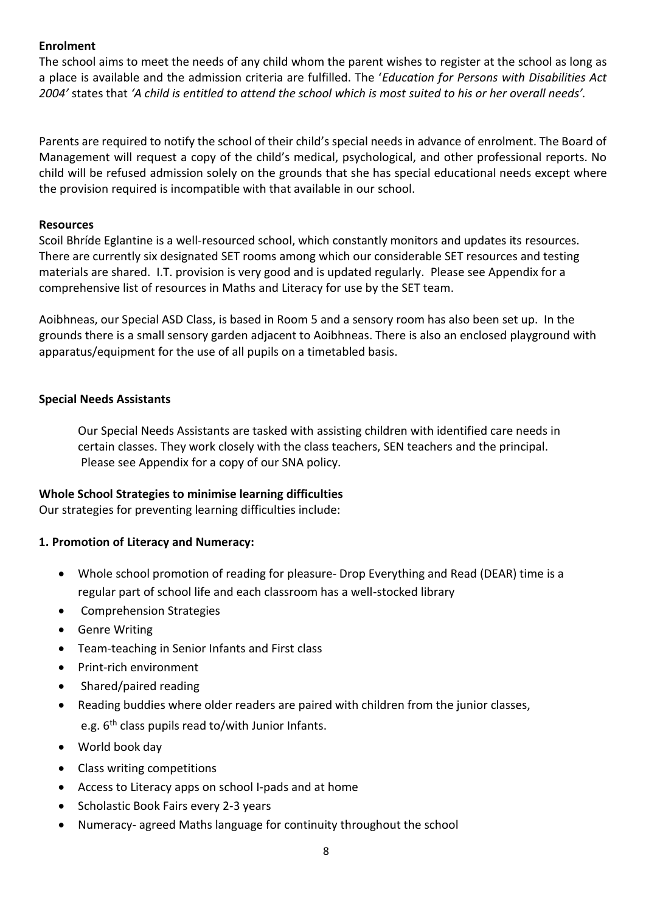## **Enrolment**

The school aims to meet the needs of any child whom the parent wishes to register at the school as long as a place is available and the admission criteria are fulfilled. The '*Education for Persons with Disabilities Act 2004'* states that *'A child is entitled to attend the school which is most suited to his or her overall needs'.*

Parents are required to notify the school of their child's special needs in advance of enrolment. The Board of Management will request a copy of the child's medical, psychological, and other professional reports. No child will be refused admission solely on the grounds that she has special educational needs except where the provision required is incompatible with that available in our school.

#### **Resources**

Scoil Bhríde Eglantine is a well-resourced school, which constantly monitors and updates its resources. There are currently six designated SET rooms among which our considerable SET resources and testing materials are shared. I.T. provision is very good and is updated regularly. Please see Appendix for a comprehensive list of resources in Maths and Literacy for use by the SET team.

Aoibhneas, our Special ASD Class, is based in Room 5 and a sensory room has also been set up. In the grounds there is a small sensory garden adjacent to Aoibhneas. There is also an enclosed playground with apparatus/equipment for the use of all pupils on a timetabled basis.

#### **Special Needs Assistants**

Our Special Needs Assistants are tasked with assisting children with identified care needs in certain classes. They work closely with the class teachers, SEN teachers and the principal. Please see Appendix for a copy of our SNA policy.

#### **Whole School Strategies to minimise learning difficulties**

Our strategies for preventing learning difficulties include:

#### **1. Promotion of Literacy and Numeracy:**

- Whole school promotion of reading for pleasure- Drop Everything and Read (DEAR) time is a regular part of school life and each classroom has a well-stocked library
- Comprehension Strategies
- Genre Writing
- Team-teaching in Senior Infants and First class
- Print-rich environment
- Shared/paired reading
- Reading buddies where older readers are paired with children from the junior classes, e.g.  $6<sup>th</sup>$  class pupils read to/with Junior Infants.
- World book day
- Class writing competitions
- Access to Literacy apps on school I-pads and at home
- Scholastic Book Fairs every 2-3 years
- Numeracy- agreed Maths language for continuity throughout the school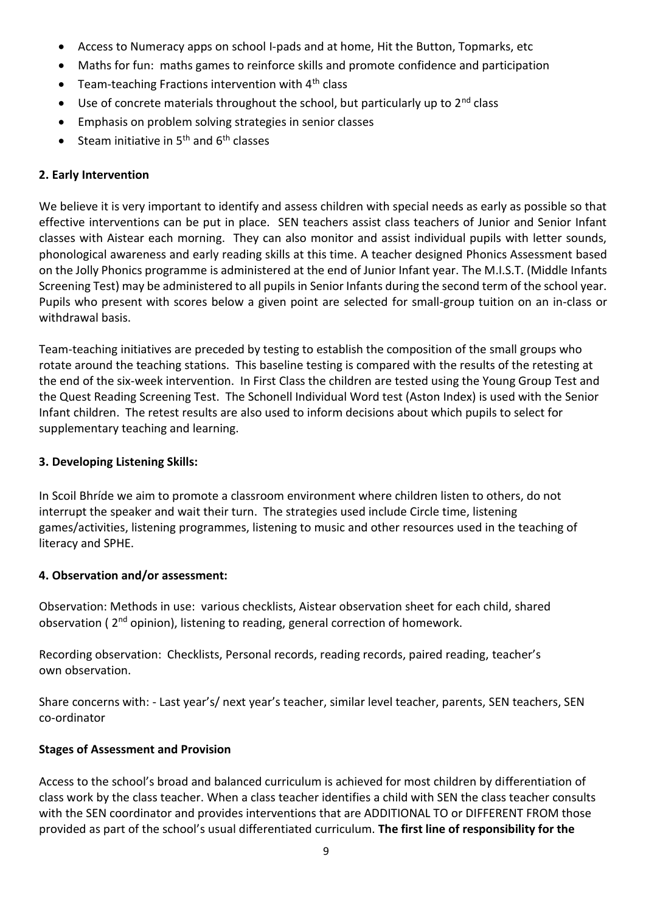- Access to Numeracy apps on school I-pads and at home, Hit the Button, Topmarks, etc
- Maths for fun: maths games to reinforce skills and promote confidence and participation
- Team-teaching Fractions intervention with  $4<sup>th</sup>$  class
- Use of concrete materials throughout the school, but particularly up to  $2^{nd}$  class
- Emphasis on problem solving strategies in senior classes
- Steam initiative in  $5<sup>th</sup>$  and  $6<sup>th</sup>$  classes

#### **2. Early Intervention**

We believe it is very important to identify and assess children with special needs as early as possible so that effective interventions can be put in place. SEN teachers assist class teachers of Junior and Senior Infant classes with Aistear each morning. They can also monitor and assist individual pupils with letter sounds, phonological awareness and early reading skills at this time. A teacher designed Phonics Assessment based on the Jolly Phonics programme is administered at the end of Junior Infant year. The M.I.S.T. (Middle Infants Screening Test) may be administered to all pupils in Senior Infants during the second term of the school year. Pupils who present with scores below a given point are selected for small-group tuition on an in-class or withdrawal basis.

Team-teaching initiatives are preceded by testing to establish the composition of the small groups who rotate around the teaching stations. This baseline testing is compared with the results of the retesting at the end of the six-week intervention. In First Class the children are tested using the Young Group Test and the Quest Reading Screening Test. The Schonell Individual Word test (Aston Index) is used with the Senior Infant children. The retest results are also used to inform decisions about which pupils to select for supplementary teaching and learning.

#### **3. Developing Listening Skills:**

In Scoil Bhríde we aim to promote a classroom environment where children listen to others, do not interrupt the speaker and wait their turn. The strategies used include Circle time, listening games/activities, listening programmes, listening to music and other resources used in the teaching of literacy and SPHE.

#### **4. Observation and/or assessment:**

Observation: Methods in use: various checklists, Aistear observation sheet for each child, shared observation (2<sup>nd</sup> opinion), listening to reading, general correction of homework.

Recording observation: Checklists, Personal records, reading records, paired reading, teacher's own observation.

Share concerns with: - Last year's/ next year's teacher, similar level teacher, parents, SEN teachers, SEN co-ordinator

## **Stages of Assessment and Provision**

Access to the school's broad and balanced curriculum is achieved for most children by differentiation of class work by the class teacher. When a class teacher identifies a child with SEN the class teacher consults with the SEN coordinator and provides interventions that are ADDITIONAL TO or DIFFERENT FROM those provided as part of the school's usual differentiated curriculum. **The first line of responsibility for the**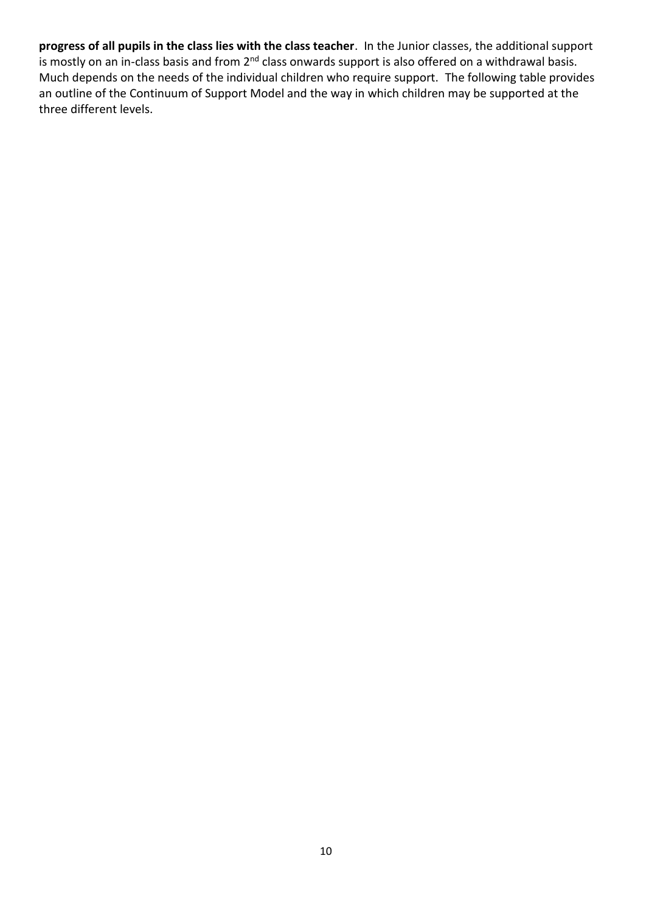**progress of all pupils in the class lies with the class teacher**. In the Junior classes, the additional support is mostly on an in-class basis and from 2<sup>nd</sup> class onwards support is also offered on a withdrawal basis. Much depends on the needs of the individual children who require support. The following table provides an outline of the Continuum of Support Model and the way in which children may be supported at the three different levels.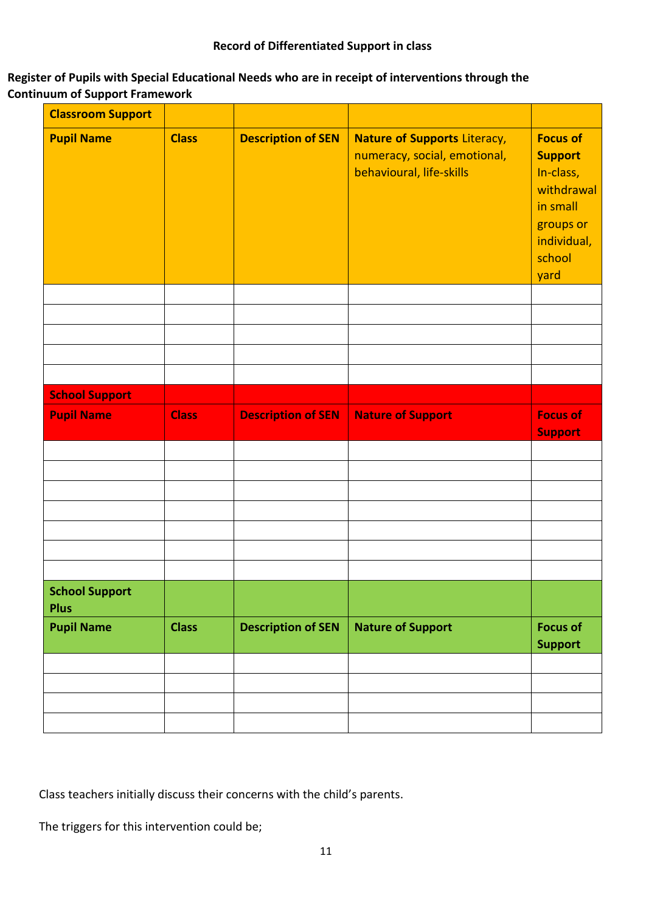## **Register of Pupils with Special Educational Needs who are in receipt of interventions through the Continuum of Support Framework**

| <b>Classroom Support</b>             |              |                           |                                                                                                 |                                                                                                                        |
|--------------------------------------|--------------|---------------------------|-------------------------------------------------------------------------------------------------|------------------------------------------------------------------------------------------------------------------------|
| <b>Pupil Name</b>                    | <b>Class</b> | <b>Description of SEN</b> | <b>Nature of Supports Literacy,</b><br>numeracy, social, emotional,<br>behavioural, life-skills | <b>Focus of</b><br><b>Support</b><br>In-class,<br>withdrawal<br>in small<br>groups or<br>individual,<br>school<br>yard |
|                                      |              |                           |                                                                                                 |                                                                                                                        |
|                                      |              |                           |                                                                                                 |                                                                                                                        |
|                                      |              |                           |                                                                                                 |                                                                                                                        |
|                                      |              |                           |                                                                                                 |                                                                                                                        |
| <b>School Support</b>                |              |                           |                                                                                                 |                                                                                                                        |
| <b>Pupil Name</b>                    | <b>Class</b> | <b>Description of SEN</b> | <b>Nature of Support</b>                                                                        | <b>Focus of</b><br><b>Support</b>                                                                                      |
|                                      |              |                           |                                                                                                 |                                                                                                                        |
|                                      |              |                           |                                                                                                 |                                                                                                                        |
|                                      |              |                           |                                                                                                 |                                                                                                                        |
|                                      |              |                           |                                                                                                 |                                                                                                                        |
|                                      |              |                           |                                                                                                 |                                                                                                                        |
|                                      |              |                           |                                                                                                 |                                                                                                                        |
| <b>School Support</b><br><b>Plus</b> |              |                           |                                                                                                 |                                                                                                                        |
| <b>Pupil Name</b>                    | <b>Class</b> | <b>Description of SEN</b> | <b>Nature of Support</b>                                                                        | <b>Focus of</b><br><b>Support</b>                                                                                      |
|                                      |              |                           |                                                                                                 |                                                                                                                        |
|                                      |              |                           |                                                                                                 |                                                                                                                        |
|                                      |              |                           |                                                                                                 |                                                                                                                        |
|                                      |              |                           |                                                                                                 |                                                                                                                        |

Class teachers initially discuss their concerns with the child's parents.

The triggers for this intervention could be;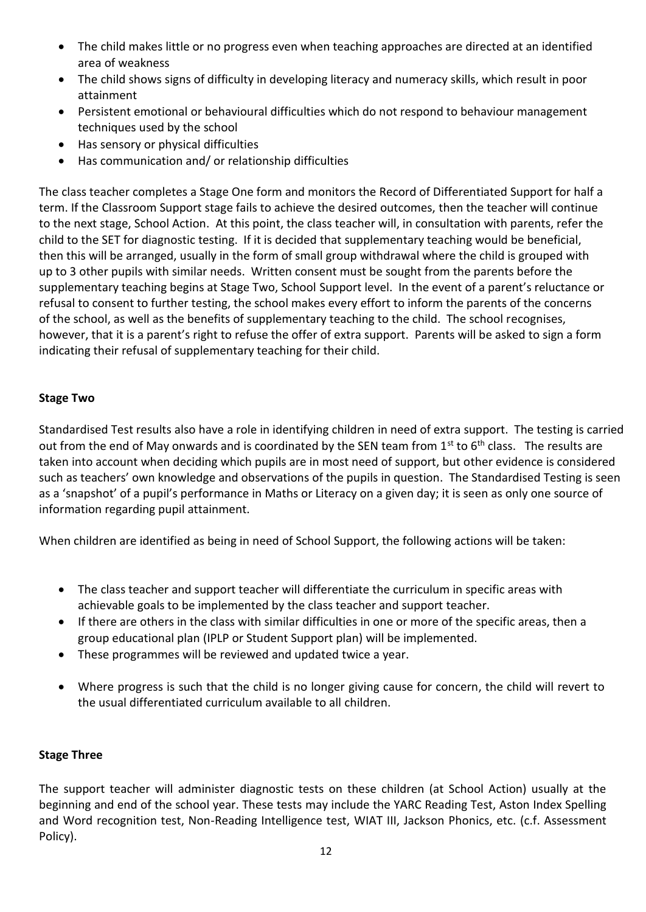- The child makes little or no progress even when teaching approaches are directed at an identified area of weakness
- The child shows signs of difficulty in developing literacy and numeracy skills, which result in poor attainment
- Persistent emotional or behavioural difficulties which do not respond to behaviour management techniques used by the school
- Has sensory or physical difficulties
- Has communication and/ or relationship difficulties

The class teacher completes a Stage One form and monitors the Record of Differentiated Support for half a term. If the Classroom Support stage fails to achieve the desired outcomes, then the teacher will continue to the next stage, School Action. At this point, the class teacher will, in consultation with parents, refer the child to the SET for diagnostic testing. If it is decided that supplementary teaching would be beneficial, then this will be arranged, usually in the form of small group withdrawal where the child is grouped with up to 3 other pupils with similar needs. Written consent must be sought from the parents before the supplementary teaching begins at Stage Two, School Support level. In the event of a parent's reluctance or refusal to consent to further testing, the school makes every effort to inform the parents of the concerns of the school, as well as the benefits of supplementary teaching to the child. The school recognises, however, that it is a parent's right to refuse the offer of extra support. Parents will be asked to sign a form indicating their refusal of supplementary teaching for their child.

# **Stage Two**

Standardised Test results also have a role in identifying children in need of extra support. The testing is carried out from the end of May onwards and is coordinated by the SEN team from  $1<sup>st</sup>$  to  $6<sup>th</sup>$  class. The results are taken into account when deciding which pupils are in most need of support, but other evidence is considered such as teachers' own knowledge and observations of the pupils in question. The Standardised Testing is seen as a 'snapshot' of a pupil's performance in Maths or Literacy on a given day; it is seen as only one source of information regarding pupil attainment.

When children are identified as being in need of School Support, the following actions will be taken:

- The class teacher and support teacher will differentiate the curriculum in specific areas with achievable goals to be implemented by the class teacher and support teacher.
- If there are others in the class with similar difficulties in one or more of the specific areas, then a group educational plan (IPLP or Student Support plan) will be implemented.
- These programmes will be reviewed and updated twice a year.
- Where progress is such that the child is no longer giving cause for concern, the child will revert to the usual differentiated curriculum available to all children.

## **Stage Three**

The support teacher will administer diagnostic tests on these children (at School Action) usually at the beginning and end of the school year. These tests may include the YARC Reading Test, Aston Index Spelling and Word recognition test, Non-Reading Intelligence test, WIAT III, Jackson Phonics, etc. (c.f. Assessment Policy).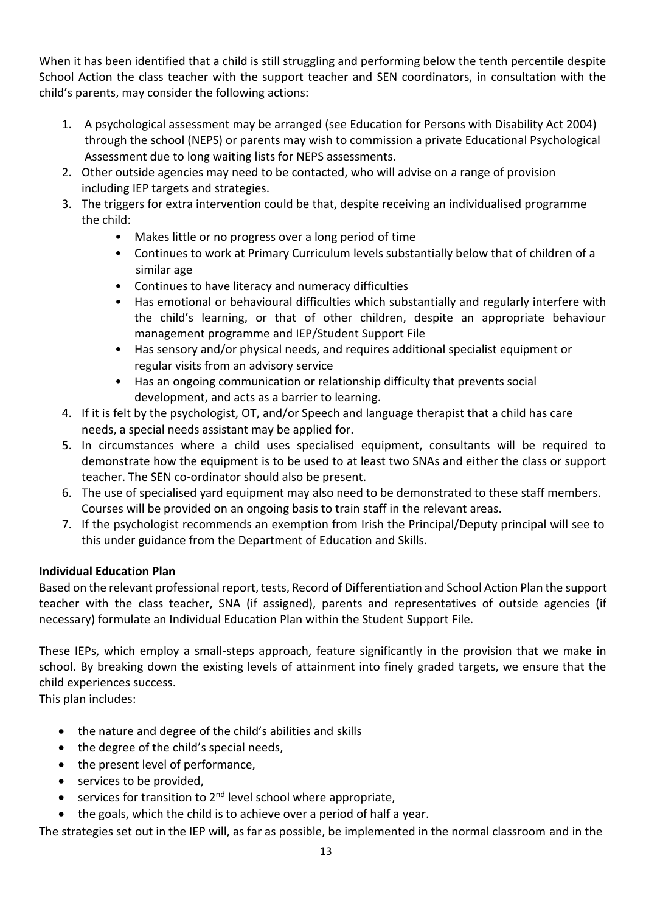When it has been identified that a child is still struggling and performing below the tenth percentile despite School Action the class teacher with the support teacher and SEN coordinators, in consultation with the child's parents, may consider the following actions:

- 1. A psychological assessment may be arranged (see Education for Persons with Disability Act 2004) through the school (NEPS) or parents may wish to commission a private Educational Psychological Assessment due to long waiting lists for NEPS assessments.
- 2. Other outside agencies may need to be contacted, who will advise on a range of provision including IEP targets and strategies.
- 3. The triggers for extra intervention could be that, despite receiving an individualised programme the child:
	- Makes little or no progress over a long period of time
	- Continues to work at Primary Curriculum levels substantially below that of children of a similar age
	- Continues to have literacy and numeracy difficulties
	- Has emotional or behavioural difficulties which substantially and regularly interfere with the child's learning, or that of other children, despite an appropriate behaviour management programme and IEP/Student Support File
	- Has sensory and/or physical needs, and requires additional specialist equipment or regular visits from an advisory service
	- Has an ongoing communication or relationship difficulty that prevents social development, and acts as a barrier to learning.
- 4. If it is felt by the psychologist, OT, and/or Speech and language therapist that a child has care needs, a special needs assistant may be applied for.
- 5. In circumstances where a child uses specialised equipment, consultants will be required to demonstrate how the equipment is to be used to at least two SNAs and either the class or support teacher. The SEN co-ordinator should also be present.
- 6. The use of specialised yard equipment may also need to be demonstrated to these staff members. Courses will be provided on an ongoing basis to train staff in the relevant areas.
- 7. If the psychologist recommends an exemption from Irish the Principal/Deputy principal will see to this under guidance from the Department of Education and Skills.

# **Individual Education Plan**

Based on the relevant professional report, tests, Record of Differentiation and School Action Plan the support teacher with the class teacher, SNA (if assigned), parents and representatives of outside agencies (if necessary) formulate an Individual Education Plan within the Student Support File.

These IEPs, which employ a small-steps approach, feature significantly in the provision that we make in school. By breaking down the existing levels of attainment into finely graded targets, we ensure that the child experiences success.

This plan includes:

- the nature and degree of the child's abilities and skills
- the degree of the child's special needs,
- the present level of performance,
- services to be provided,
- $\bullet$  services for transition to 2<sup>nd</sup> level school where appropriate,
- the goals, which the child is to achieve over a period of half a year.

The strategies set out in the IEP will, as far as possible, be implemented in the normal classroom and in the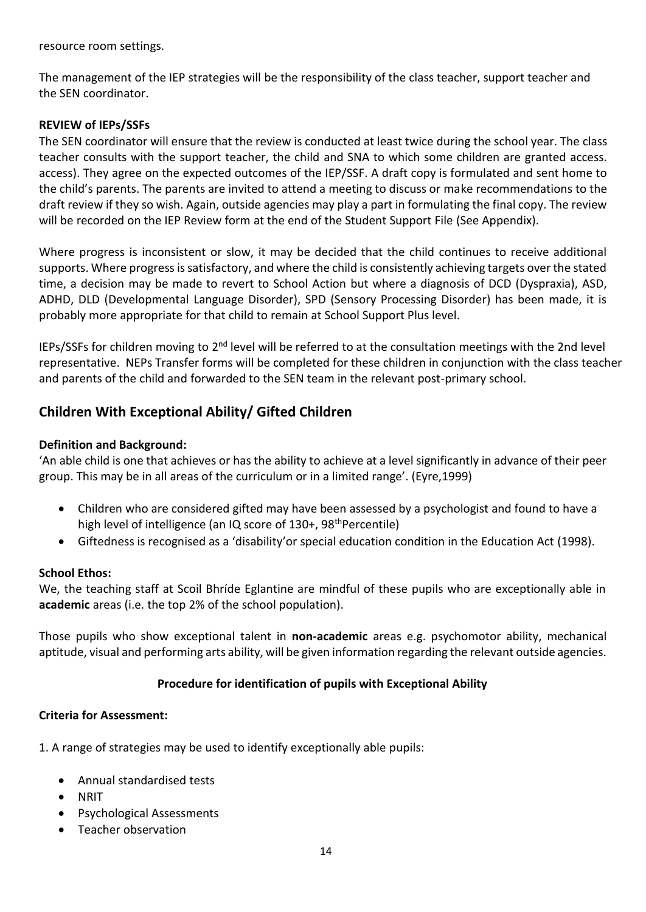resource room settings.

The management of the IEP strategies will be the responsibility of the class teacher, support teacher and the SEN coordinator.

#### **REVIEW of IEPs/SSFs**

The SEN coordinator will ensure that the review is conducted at least twice during the school year. The class teacher consults with the support teacher, the child and SNA to which some children are granted access. access). They agree on the expected outcomes of the IEP/SSF. A draft copy is formulated and sent home to the child's parents. The parents are invited to attend a meeting to discuss or make recommendations to the draft review if they so wish. Again, outside agencies may play a part in formulating the final copy. The review will be recorded on the IEP Review form at the end of the Student Support File (See Appendix).

Where progress is inconsistent or slow, it may be decided that the child continues to receive additional supports. Where progress is satisfactory, and where the child is consistently achieving targets over the stated time, a decision may be made to revert to School Action but where a diagnosis of DCD (Dyspraxia), ASD, ADHD, DLD (Developmental Language Disorder), SPD (Sensory Processing Disorder) has been made, it is probably more appropriate for that child to remain at School Support Plus level.

IEPs/SSFs for children moving to 2<sup>nd</sup> level will be referred to at the consultation meetings with the 2nd level representative. NEPs Transfer forms will be completed for these children in conjunction with the class teacher and parents of the child and forwarded to the SEN team in the relevant post-primary school.

# **Children With Exceptional Ability/ Gifted Children**

#### **Definition and Background:**

'An able child is one that achieves or has the ability to achieve at a level significantly in advance of their peer group. This may be in all areas of the curriculum or in a limited range'. (Eyre,1999)

- Children who are considered gifted may have been assessed by a psychologist and found to have a high level of intelligence (an IQ score of 130+, 98<sup>th</sup>Percentile)
- Giftedness is recognised as a 'disability'or special education condition in the Education Act (1998).

#### **School Ethos:**

We, the teaching staff at Scoil Bhríde Eglantine are mindful of these pupils who are exceptionally able in **academic** areas (i.e. the top 2% of the school population).

Those pupils who show exceptional talent in **non-academic** areas e.g. psychomotor ability, mechanical aptitude, visual and performing arts ability, will be given information regarding the relevant outside agencies.

#### **Procedure for identification of pupils with Exceptional Ability**

#### **Criteria for Assessment:**

1. A range of strategies may be used to identify exceptionally able pupils:

- Annual standardised tests
- NRIT
- Psychological Assessments
- Teacher observation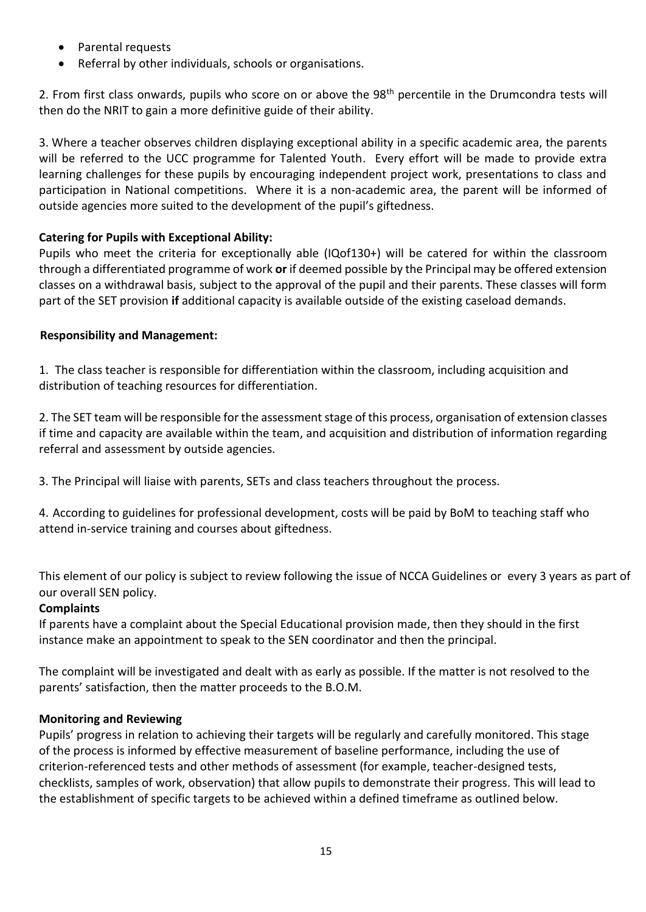- Parental requests
- Referral by other individuals, schools or organisations.

2. From first class onwards, pupils who score on or above the 98<sup>th</sup> percentile in the Drumcondra tests will then do the NRIT to gain a more definitive guide of their ability.

3. Where a teacher observes children displaying exceptional ability in a specific academic area, the parents will be referred to the UCC programme for Talented Youth. Every effort will be made to provide extra learning challenges for these pupils by encouraging independent project work, presentations to class and participation in National competitions. Where it is a non-academic area, the parent will be informed of outside agencies more suited to the development of the pupil's giftedness.

# **Catering for Pupils with Exceptional Ability:**

Pupils who meet the criteria for exceptionally able (IQof130+) will be catered for within the classroom through a differentiated programme of work **or** if deemed possible by the Principal may be offered extension classes on a withdrawal basis, subject to the approval of the pupil and their parents. These classes will form part of the SET provision **if** additional capacity is available outside of the existing caseload demands.

## **Responsibility and Management:**

1. The class teacher is responsible for differentiation within the classroom, including acquisition and distribution of teaching resources for differentiation.

2. The SET team will be responsible for the assessment stage of this process, organisation of extension classes if time and capacity are available within the team, and acquisition and distribution of information regarding referral and assessment by outside agencies.

3. The Principal will liaise with parents, SETs and class teachers throughout the process.

4. According to guidelines for professional development, costs will be paid by BoM to teaching staff who attend in-service training and courses about giftedness.

This element of our policy is subject to review following the issue of NCCA Guidelines or every 3 years as part of our overall SEN policy.

## **Complaints**

If parents have a complaint about the Special Educational provision made, then they should in the first instance make an appointment to speak to the SEN coordinator and then the principal.

The complaint will be investigated and dealt with as early as possible. If the matter is not resolved to the parents' satisfaction, then the matter proceeds to the B.O.M.

## **Monitoring and Reviewing**

Pupils' progress in relation to achieving their targets will be regularly and carefully monitored. This stage of the process is informed by effective measurement of baseline performance, including the use of criterion-referenced tests and other methods of assessment (for example, teacher-designed tests, checklists, samples of work, observation) that allow pupils to demonstrate their progress. This will lead to the establishment of specific targets to be achieved within a defined timeframe as outlined below.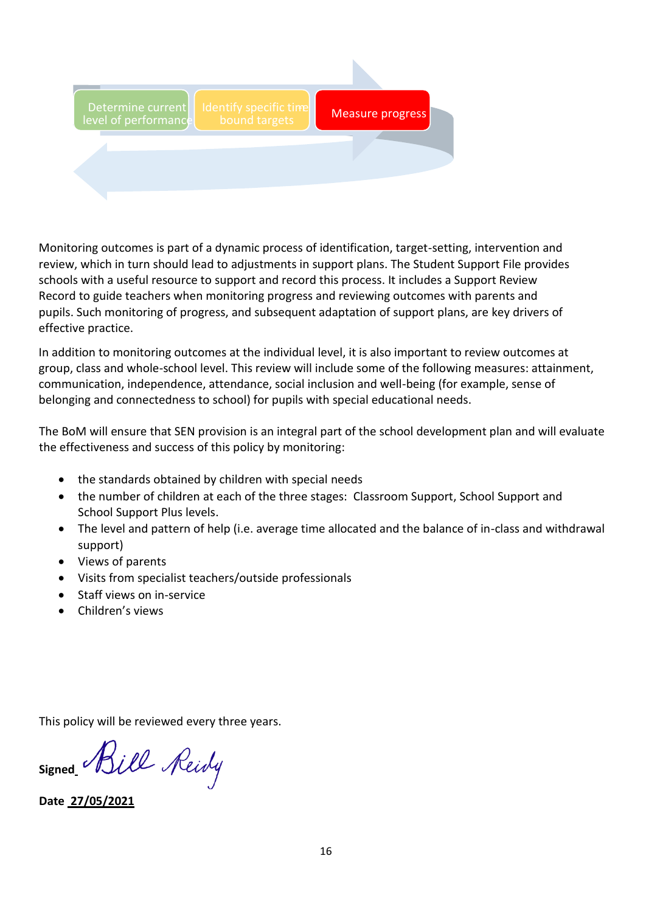

Monitoring outcomes is part of a dynamic process of identification, target-setting, intervention and review, which in turn should lead to adjustments in support plans. The Student Support File provides schools with a useful resource to support and record this process. It includes a Support Review Record to guide teachers when monitoring progress and reviewing outcomes with parents and pupils. Such monitoring of progress, and subsequent adaptation of support plans, are key drivers of effective practice.

In addition to monitoring outcomes at the individual level, it is also important to review outcomes at group, class and whole-school level. This review will include some of the following measures: attainment, communication, independence, attendance, social inclusion and well-being (for example, sense of belonging and connectedness to school) for pupils with special educational needs.

The BoM will ensure that SEN provision is an integral part of the school development plan and will evaluate the effectiveness and success of this policy by monitoring:

- the standards obtained by children with special needs
- the number of children at each of the three stages: Classroom Support, School Support and School Support Plus levels.
- The level and pattern of help (i.e. average time allocated and the balance of in-class and withdrawal support)
- Views of parents
- Visits from specialist teachers/outside professionals
- Staff views on in-service
- Children's views

This policy will be reviewed every three years.

signed *Rill Reidy* 

**Date 27/05/2021**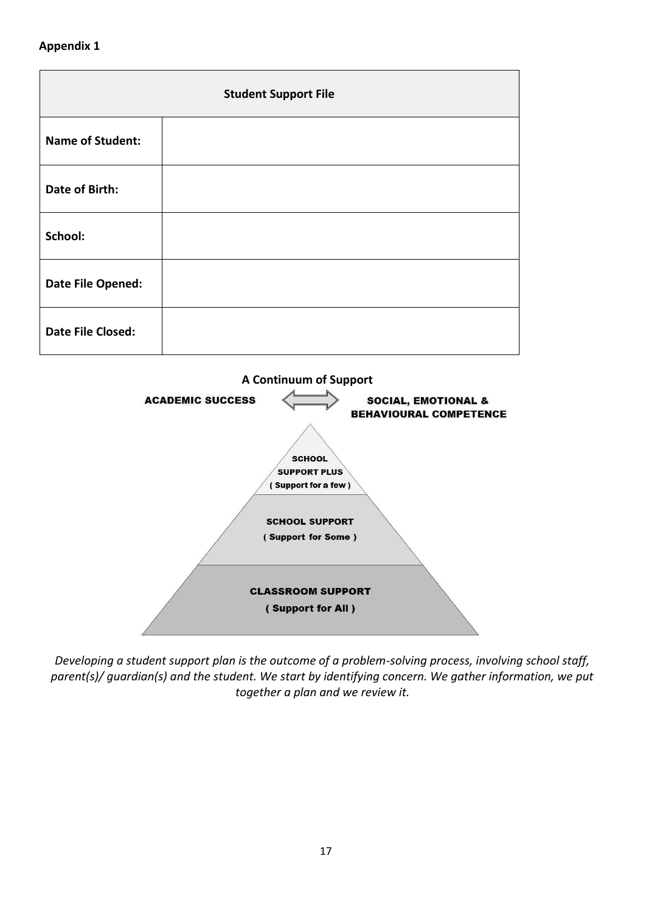#### **Appendix 1**





*Developing a student support plan is the outcome of a problem-solving process, involving school staff, parent(s)/ guardian(s) and the student. We start by identifying concern. We gather information, we put together a plan and we review it.*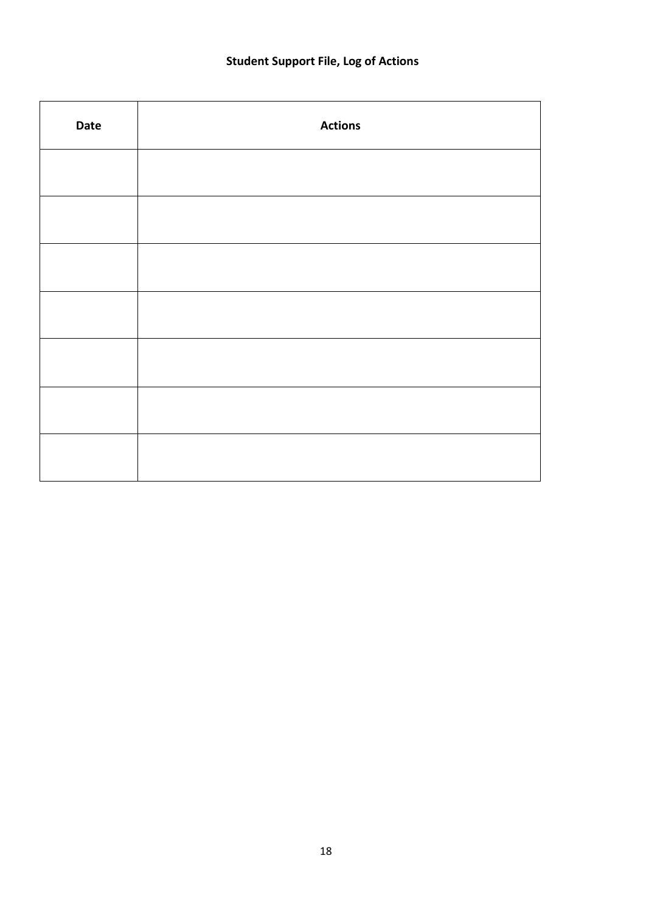# **Student Support File, Log of Actions**

| Date | <b>Actions</b> |
|------|----------------|
|      |                |
|      |                |
|      |                |
|      |                |
|      |                |
|      |                |
|      |                |
|      |                |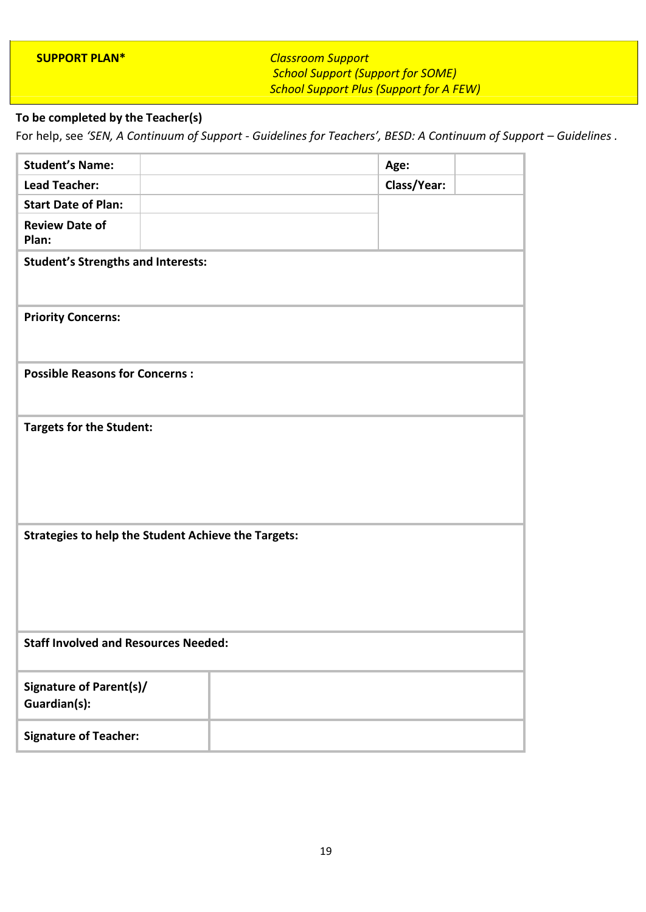**SUPPORT PLAN\*** *Classroom Support School Support (Support for SOME) School Support Plus (Support for A FEW)*

# **To be completed by the Teacher(s)**

For help, see *'SEN, A Continuum of Support - Guidelines for Teachers', BESD: A Continuum of Support – Guidelines .*

| <b>Student's Name:</b>                                     |  | Age:        |  |
|------------------------------------------------------------|--|-------------|--|
| <b>Lead Teacher:</b>                                       |  | Class/Year: |  |
| <b>Start Date of Plan:</b>                                 |  |             |  |
| <b>Review Date of</b><br>Plan:                             |  |             |  |
| <b>Student's Strengths and Interests:</b>                  |  |             |  |
| <b>Priority Concerns:</b>                                  |  |             |  |
| <b>Possible Reasons for Concerns:</b>                      |  |             |  |
| <b>Targets for the Student:</b>                            |  |             |  |
| <b>Strategies to help the Student Achieve the Targets:</b> |  |             |  |
| <b>Staff Involved and Resources Needed:</b>                |  |             |  |
| <b>Signature of Parent(s)/</b><br>Guardian(s):             |  |             |  |
| <b>Signature of Teacher:</b>                               |  |             |  |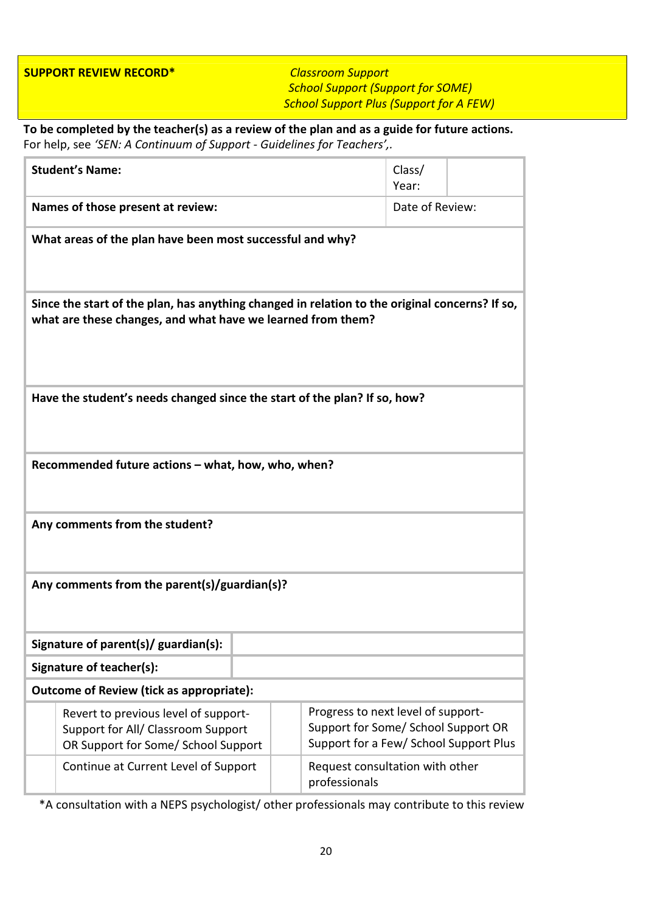**SUPPORT REVIEW RECORD\*** *Classroom Support*

*School Support (Support for SOME) School Support Plus (Support for A FEW)*

**To be completed by the teacher(s) as a review of the plan and as a guide for future actions.** For help, see *'SEN: A Continuum of Support - Guidelines for Teachers',.*

| <b>Student's Name:</b>                                                                                                                                        |                                                                                                                   |  |                 |                                                                                                                     | Class/<br>Year: |  |
|---------------------------------------------------------------------------------------------------------------------------------------------------------------|-------------------------------------------------------------------------------------------------------------------|--|-----------------|---------------------------------------------------------------------------------------------------------------------|-----------------|--|
| Names of those present at review:                                                                                                                             |                                                                                                                   |  | Date of Review: |                                                                                                                     |                 |  |
|                                                                                                                                                               | What areas of the plan have been most successful and why?                                                         |  |                 |                                                                                                                     |                 |  |
| Since the start of the plan, has anything changed in relation to the original concerns? If so,<br>what are these changes, and what have we learned from them? |                                                                                                                   |  |                 |                                                                                                                     |                 |  |
|                                                                                                                                                               | Have the student's needs changed since the start of the plan? If so, how?                                         |  |                 |                                                                                                                     |                 |  |
|                                                                                                                                                               | Recommended future actions - what, how, who, when?                                                                |  |                 |                                                                                                                     |                 |  |
|                                                                                                                                                               | Any comments from the student?                                                                                    |  |                 |                                                                                                                     |                 |  |
|                                                                                                                                                               | Any comments from the parent(s)/guardian(s)?                                                                      |  |                 |                                                                                                                     |                 |  |
|                                                                                                                                                               | Signature of parent(s)/ guardian(s):                                                                              |  |                 |                                                                                                                     |                 |  |
|                                                                                                                                                               | Signature of teacher(s):                                                                                          |  |                 |                                                                                                                     |                 |  |
|                                                                                                                                                               | Outcome of Review (tick as appropriate):                                                                          |  |                 |                                                                                                                     |                 |  |
|                                                                                                                                                               | Revert to previous level of support-<br>Support for All/ Classroom Support<br>OR Support for Some/ School Support |  |                 | Progress to next level of support-<br>Support for Some/ School Support OR<br>Support for a Few/ School Support Plus |                 |  |
|                                                                                                                                                               | Continue at Current Level of Support                                                                              |  |                 | Request consultation with other<br>professionals                                                                    |                 |  |

\*A consultation with a NEPS psychologist/ other professionals may contribute to this review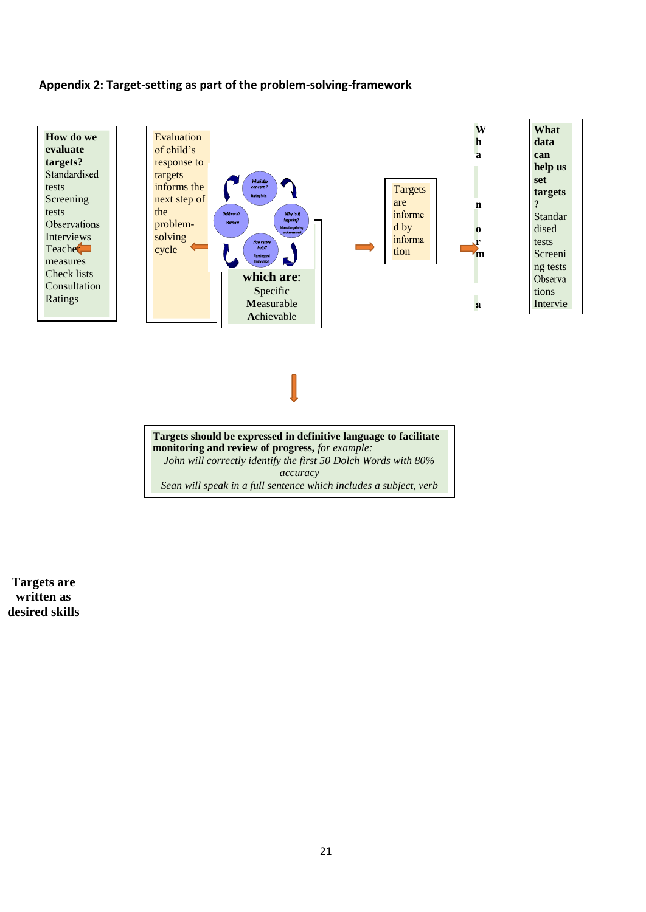#### **Appendix 2: Target-setting as part of the problem-solving-framework**



*accuracy*

*Sean will speak in a full sentence which includes a subject, verb*

**Targets are written as desired skills**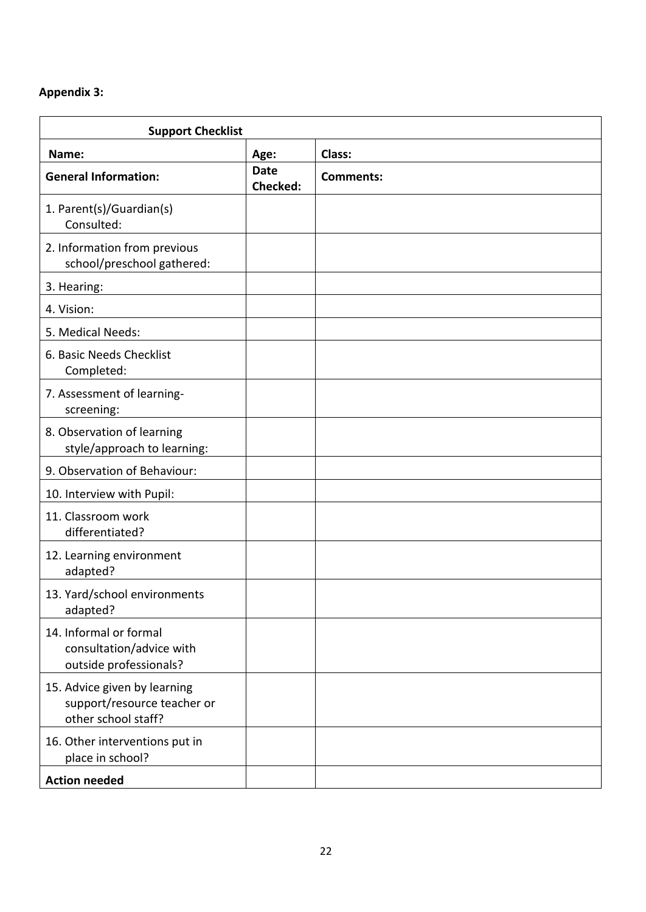# **Appendix 3:**

| <b>Support Checklist</b>                                                           |                         |                  |
|------------------------------------------------------------------------------------|-------------------------|------------------|
| Name:                                                                              | Age:                    | <b>Class:</b>    |
| <b>General Information:</b>                                                        | <b>Date</b><br>Checked: | <b>Comments:</b> |
| 1. Parent(s)/Guardian(s)<br>Consulted:                                             |                         |                  |
| 2. Information from previous<br>school/preschool gathered:                         |                         |                  |
| 3. Hearing:                                                                        |                         |                  |
| 4. Vision:                                                                         |                         |                  |
| 5. Medical Needs:                                                                  |                         |                  |
| 6. Basic Needs Checklist<br>Completed:                                             |                         |                  |
| 7. Assessment of learning-<br>screening:                                           |                         |                  |
| 8. Observation of learning<br>style/approach to learning:                          |                         |                  |
| 9. Observation of Behaviour:                                                       |                         |                  |
| 10. Interview with Pupil:                                                          |                         |                  |
| 11. Classroom work<br>differentiated?                                              |                         |                  |
| 12. Learning environment<br>adapted?                                               |                         |                  |
| 13. Yard/school environments<br>adapted?                                           |                         |                  |
| 14. Informal or formal<br>consultation/advice with<br>outside professionals?       |                         |                  |
| 15. Advice given by learning<br>support/resource teacher or<br>other school staff? |                         |                  |
| 16. Other interventions put in<br>place in school?                                 |                         |                  |
| <b>Action needed</b>                                                               |                         |                  |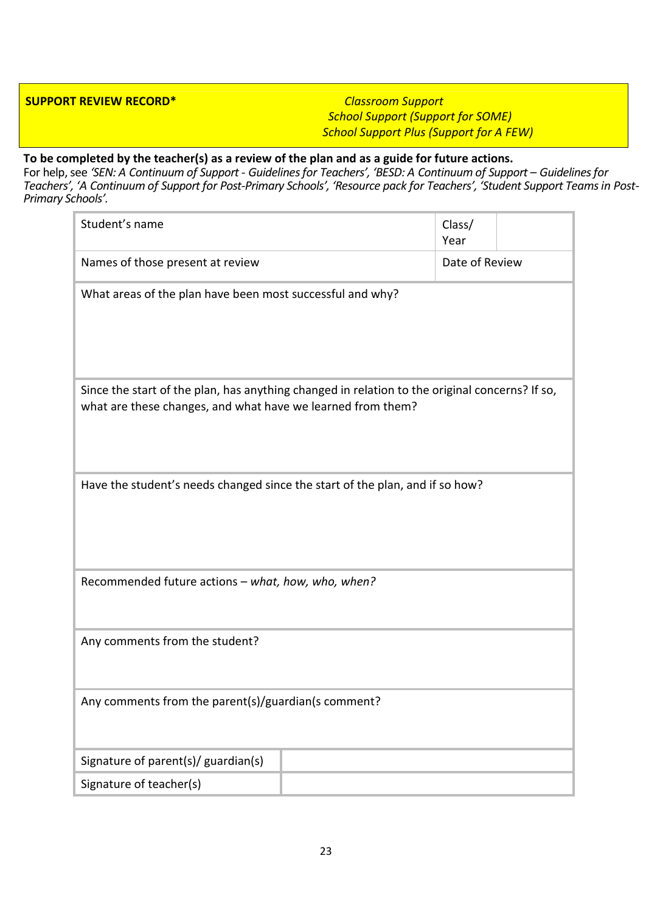#### **SUPPORT REVIEW RECORD\*** *Classroom Support*

*School Support (Support for SOME) School Support Plus (Support for A FEW)*

# **To be completed by the teacher(s) as a review of the plan and as a guide for future actions.**

For help, see *'SEN: A Continuum of Support - Guidelines for Teachers', 'BESD: A Continuum of Support – Guidelines for Teachers', 'A Continuum of Support for Post-Primary Schools', 'Resource pack for Teachers', 'Student Support Teams in Post-Primary Schools'.*

| Student's name                                                                                                                                                | Class/<br>Year |  |  |  |
|---------------------------------------------------------------------------------------------------------------------------------------------------------------|----------------|--|--|--|
| Names of those present at review                                                                                                                              | Date of Review |  |  |  |
| What areas of the plan have been most successful and why?                                                                                                     |                |  |  |  |
| Since the start of the plan, has anything changed in relation to the original concerns? If so,<br>what are these changes, and what have we learned from them? |                |  |  |  |
| Have the student's needs changed since the start of the plan, and if so how?                                                                                  |                |  |  |  |
| Recommended future actions - what, how, who, when?                                                                                                            |                |  |  |  |
| Any comments from the student?                                                                                                                                |                |  |  |  |
| Any comments from the parent(s)/guardian(s comment?                                                                                                           |                |  |  |  |
| Signature of parent(s)/ guardian(s)                                                                                                                           |                |  |  |  |
| Signature of teacher(s)                                                                                                                                       |                |  |  |  |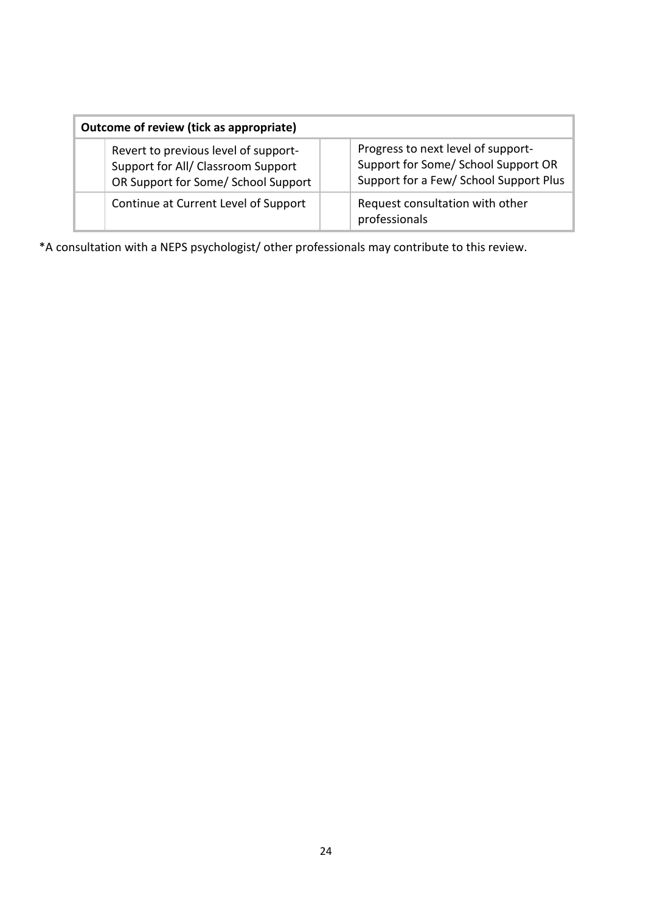| Outcome of review (tick as appropriate)                                                                           |                                                                                                                     |  |  |
|-------------------------------------------------------------------------------------------------------------------|---------------------------------------------------------------------------------------------------------------------|--|--|
| Revert to previous level of support-<br>Support for All/ Classroom Support<br>OR Support for Some/ School Support | Progress to next level of support-<br>Support for Some/ School Support OR<br>Support for a Few/ School Support Plus |  |  |
| Continue at Current Level of Support                                                                              | Request consultation with other<br>professionals                                                                    |  |  |

\*A consultation with a NEPS psychologist/ other professionals may contribute to this review.